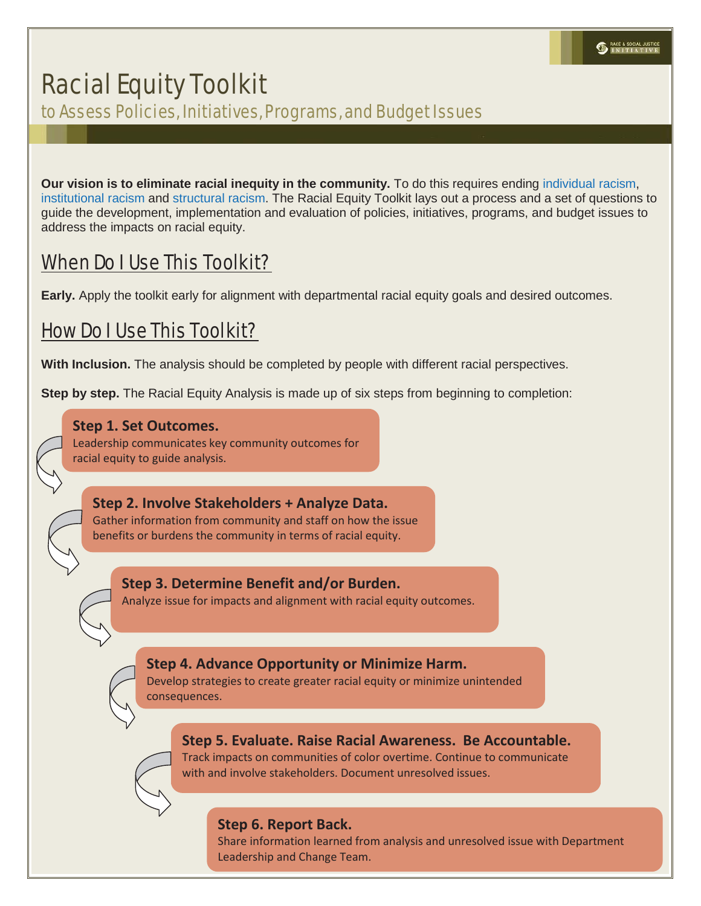# Racial Equity Toolkit

to Assess Policies, Initiatives, Programs, and Budget Issues

**Our vision is to eliminate racial inequity in the community.** To do this requires ending individual racism, institutional racism and structural racism. The Racial Equity Toolkit lays out a process and a set of questions to guide the development, implementation and evaluation of policies, initiatives, programs, and budget issues to address the impacts on racial equity.

# When Do I Use This Toolkit?

**Early.** Apply the toolkit early for alignment with departmental racial equity goals and desired outcomes.

# How Do I Use This Toolkit?

**With Inclusion.** The analysis should be completed by people with different racial perspectives.

**Step by step.** The Racial Equity Analysis is made up of six steps from beginning to completion:

### **Step 1. Set Outcomes.**

Leadership communicates key community outcomes for racial equity to guide analysis.

**Step 2. Involve Stakeholders + Analyze Data.**  Gather information from community and staff on how the issue benefits or burdens the community in terms of racial equity.

**Step 3. Determine Benefit and/or Burden.**  Analyze issue for impacts and alignment with racial equity outcomes.

**Step 4. Advance Opportunity or Minimize Harm.** 

Develop strategies to create greater racial equity or minimize unintended consequences.

### **Step 5. Evaluate. Raise Racial Awareness. Be Accountable.**

Track impacts on communities of color overtime. Continue to communicate with and involve stakeholders. Document unresolved issues.

### **Step 6. Report Back.**

Share information learned from analysis and unresolved issue with Department Leadership and Change Team.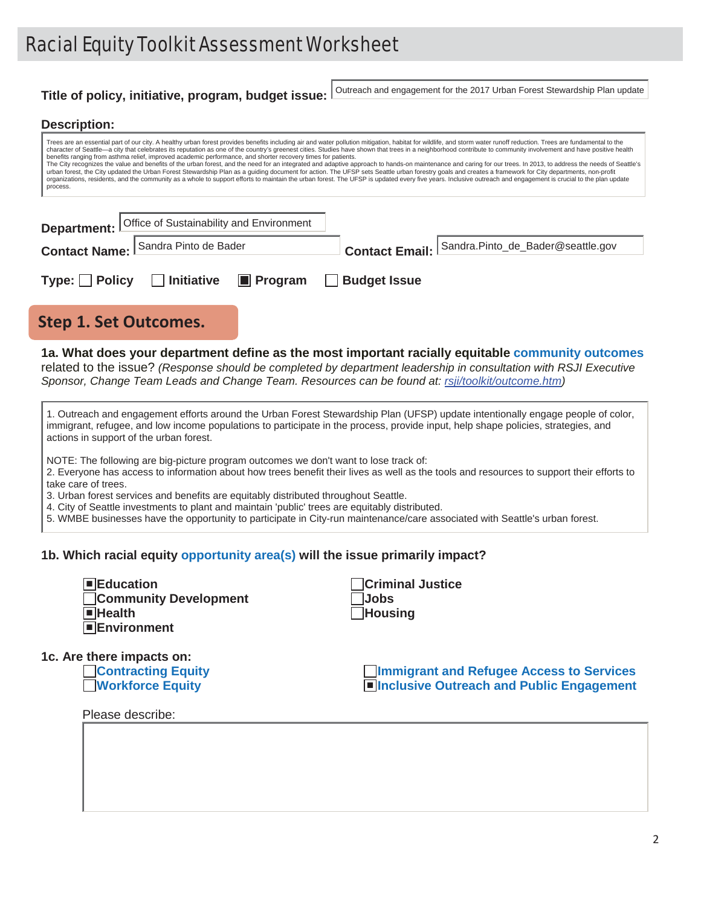# Racial Equity Toolkit Assessment Worksheet

### **Title of policy, initiative, program, budget issue:** Outreach and engagement for the 2017 Urban Forest Stewardship Plan update

#### **Description:**

1c.  $A$ 

| Trees are an essential part of our city. A healthy urban forest provides benefits including air and water pollution mitigation, habitat for wildlife, and storm water runoff reduction. Trees are fundamental to the<br>character of Seattle—a city that celebrates its reputation as one of the country's greenest cities. Studies have shown that trees in a neighborhood contribute to community involvement and have positive health<br>benefits ranging from asthma relief, improved academic performance, and shorter recovery times for patients.<br>The City recognizes the value and benefits of the urban forest, and the need for an integrated and adaptive approach to hands-on maintenance and caring for our trees. In 2013, to address the needs of Seattle's<br>urban forest, the City updated the Urban Forest Stewardship Plan as a quiding document for action. The UFSP sets Seattle urban forestry goals and creates a framework for City departments, non-profit<br>organizations, residents, and the community as a whole to support efforts to maintain the urban forest. The UFSP is updated every five years. Inclusive outreach and engagement is crucial to the plan update<br>process. |
|----------------------------------------------------------------------------------------------------------------------------------------------------------------------------------------------------------------------------------------------------------------------------------------------------------------------------------------------------------------------------------------------------------------------------------------------------------------------------------------------------------------------------------------------------------------------------------------------------------------------------------------------------------------------------------------------------------------------------------------------------------------------------------------------------------------------------------------------------------------------------------------------------------------------------------------------------------------------------------------------------------------------------------------------------------------------------------------------------------------------------------------------------------------------------------------------------------------------|
|                                                                                                                                                                                                                                                                                                                                                                                                                                                                                                                                                                                                                                                                                                                                                                                                                                                                                                                                                                                                                                                                                                                                                                                                                      |

|                                     | <b>Department:</b> Office of Sustainability and Environment |                                                  |  |
|-------------------------------------|-------------------------------------------------------------|--------------------------------------------------|--|
| Contact Name: Sandra Pinto de Bader |                                                             | Contact Email: Sandra.Pinto_de_Bader@seattle.gov |  |
|                                     |                                                             |                                                  |  |
| $Type:$ Policy                      | □ Initiative ■ Program □ Budget Issue                       |                                                  |  |

### **Step 1. Set Outcomes.**

**1a. What does your department define as the most important racially equitable community outcomes** related to the issue? *(Response should be completed by department leadership in consultation with RSJI Executive Sponsor, Change Team Leads and Change Team. Resources can be found at: rsji/toolkit/outcome.htm)*

| 1. Outreach and engagement efforts around the Urban Forest Stewardship Plan (UFSP) update intentionally engage people of color,<br>immigrant, refugee, and low income populations to participate in the process, provide input, help shape policies, strategies, and<br>actions in support of the urban forest. |
|-----------------------------------------------------------------------------------------------------------------------------------------------------------------------------------------------------------------------------------------------------------------------------------------------------------------|
|-----------------------------------------------------------------------------------------------------------------------------------------------------------------------------------------------------------------------------------------------------------------------------------------------------------------|

NOTE: The following are big-picture program outcomes we don't want to lose track of:

2. Everyone has access to information about how trees benefit their lives as well as the tools and resources to support their efforts to take care of trees.

3. Urban forest services and benefits are equitably distributed throughout Seattle.

4. City of Seattle investments to plant and maintain 'public' trees are equitably distributed.

5. WMBE businesses have the opportunity to participate in City-run maintenance/care associated with Seattle's urban forest.

#### **1b. Which racial equity opportunity area(s) will the issue primarily impact?**

| $\blacksquare$ Education<br><b>Community Development</b><br>$\blacksquare$ Health<br><b>Environment</b> | <b>Criminal Justice</b><br><b>Jobs</b><br>Housing                                            |
|---------------------------------------------------------------------------------------------------------|----------------------------------------------------------------------------------------------|
| re there impacts on:<br><b>Contracting Equity</b><br><b>Workforce Equity</b>                            | <b>Immigrant and Refugee Access to Services</b><br>■Inclusive Outreach and Public Engagement |
| Please describe:                                                                                        |                                                                                              |
|                                                                                                         |                                                                                              |
|                                                                                                         |                                                                                              |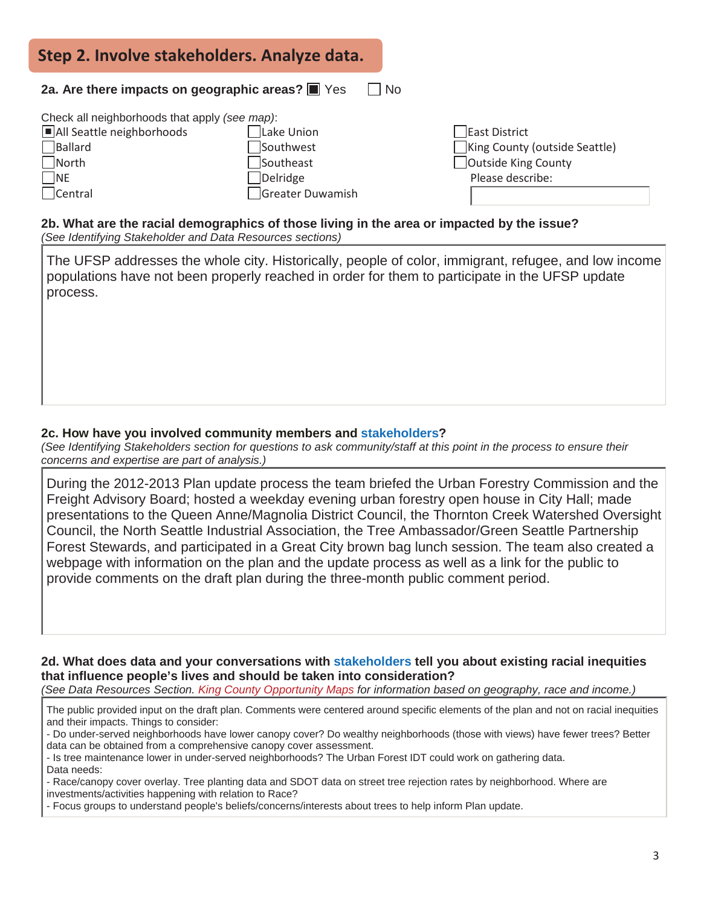| Step 2. Involve stakeholders. Analyze data.                                                                                        |                                                                      |                                                                                           |  |  |  |  |  |
|------------------------------------------------------------------------------------------------------------------------------------|----------------------------------------------------------------------|-------------------------------------------------------------------------------------------|--|--|--|--|--|
| 2a. Are there impacts on geographic areas? $\blacksquare$ Yes<br>l No                                                              |                                                                      |                                                                                           |  |  |  |  |  |
| Check all neighborhoods that apply (see map):<br>All Seattle neighborhoods<br>Ballard<br>$\sqrt{\sqrt{2}}$<br>$\neg$ NE<br>Central | Lake Union<br>Southwest<br>Southeast<br>Delridge<br>Greater Duwamish | East District<br>King County (outside Seattle)<br>Outside King County<br>Please describe: |  |  |  |  |  |

**2b. What are the racial demographics of those living in the area or impacted by the issue?** *(See Identifying Stakeholder and Data Resources sections)*

The UFSP addresses the whole city. Historically, people of color, immigrant, refugee, and low income populations have not been properly reached in order for them to participate in the UFSP update process.

### **2c. How have you involved community members and stakeholders?**

*(See Identifying Stakeholders section for questions to ask community/staff at this point in the process to ensure their concerns and expertise are part of analysis.)*

During the 2012-2013 Plan update process the team briefed the Urban Forestry Commission and the Freight Advisory Board; hosted a weekday evening urban forestry open house in City Hall; made presentations to the Queen Anne/Magnolia District Council, the Thornton Creek Watershed Oversight Council, the North Seattle Industrial Association, the Tree Ambassador/Green Seattle Partnership Forest Stewards, and participated in a Great City brown bag lunch session. The team also created a webpage with information on the plan and the update process as well as a link for the public to provide comments on the draft plan during the three-month public comment period.

**2d. What does data and your conversations with stakeholders tell you about existing racial inequities that influence people's lives and should be taken into consideration?**

*(See Data Resources Section. King County Opportunity Maps for information based on geography, race and income.)*

The public provided input on the draft plan. Comments were centered around specific elements of the plan and not on racial inequities and their impacts. Things to consider:

- Do under-served neighborhoods have lower canopy cover? Do wealthy neighborhoods (those with views) have fewer trees? Better data can be obtained from a comprehensive canopy cover assessment.

- Is tree maintenance lower in under-served neighborhoods? The Urban Forest IDT could work on gathering data.

Data needs:

- Race/canopy cover overlay. Tree planting data and SDOT data on street tree rejection rates by neighborhood. Where are investments/activities happening with relation to Race?

- Focus groups to understand people's beliefs/concerns/interests about trees to help inform Plan update.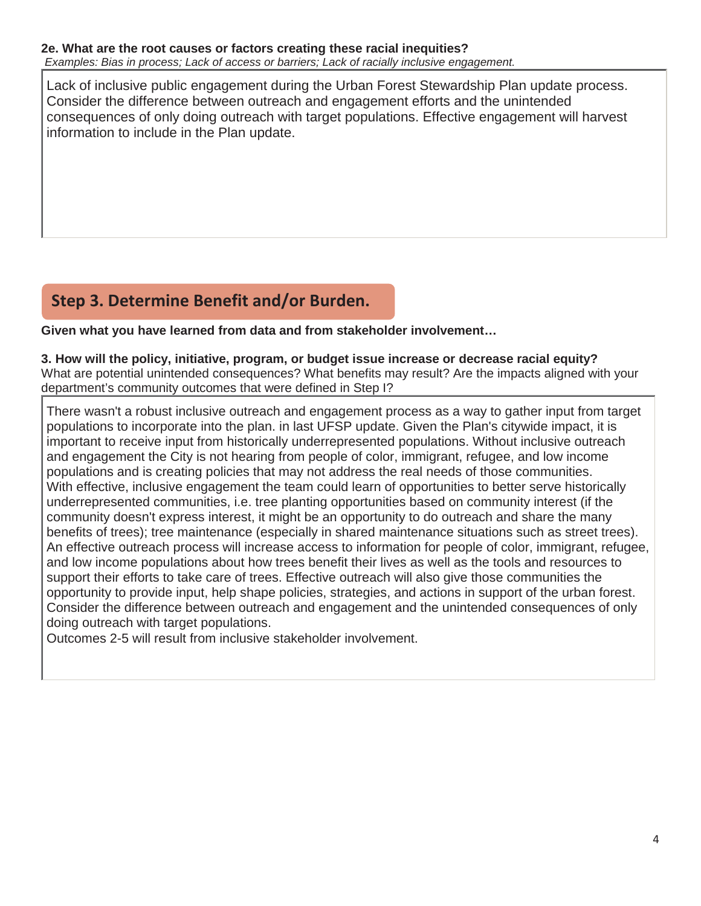Lack of inclusive public engagement during the Urban Forest Stewardship Plan update process. Consider the difference between outreach and engagement efforts and the unintended consequences of only doing outreach with target populations. Effective engagement will harvest information to include in the Plan update.

## **Step 3. Determine Benefit and/or Burden.**

**Given what you have learned from data and from stakeholder involvement…**

**3. How will the policy, initiative, program, or budget issue increase or decrease racial equity?** What are potential unintended consequences? What benefits may result? Are the impacts aligned with your department's community outcomes that were defined in Step I?

There wasn't a robust inclusive outreach and engagement process as a way to gather input from target populations to incorporate into the plan. in last UFSP update. Given the Plan's citywide impact, it is important to receive input from historically underrepresented populations. Without inclusive outreach and engagement the City is not hearing from people of color, immigrant, refugee, and low income populations and is creating policies that may not address the real needs of those communities. With effective, inclusive engagement the team could learn of opportunities to better serve historically underrepresented communities, i.e. tree planting opportunities based on community interest (if the community doesn't express interest, it might be an opportunity to do outreach and share the many benefits of trees); tree maintenance (especially in shared maintenance situations such as street trees). An effective outreach process will increase access to information for people of color, immigrant, refugee, and low income populations about how trees benefit their lives as well as the tools and resources to support their efforts to take care of trees. Effective outreach will also give those communities the opportunity to provide input, help shape policies, strategies, and actions in support of the urban forest. Consider the difference between outreach and engagement and the unintended consequences of only doing outreach with target populations.

Outcomes 2-5 will result from inclusive stakeholder involvement.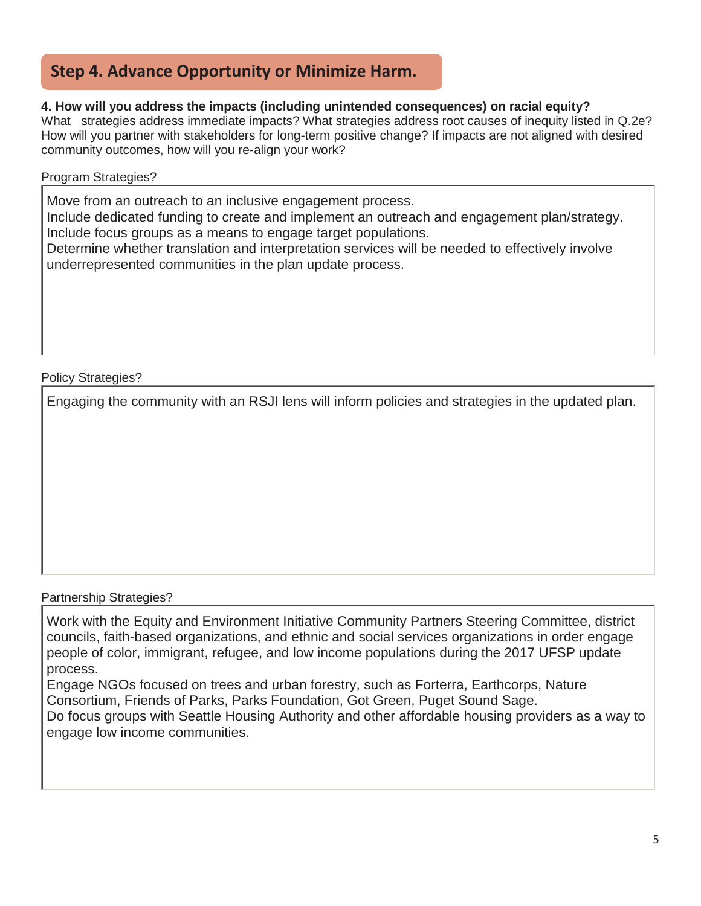### **Step 4. Advance Opportunity or Minimize Harm.**

### **4. How will you address the impacts (including unintended consequences) on racial equity?**

What strategies address immediate impacts? What strategies address root causes of inequity listed in Q.2e? How will you partner with stakeholders for long-term positive change? If impacts are not aligned with desired community outcomes, how will you re-align your work?

### Program Strategies?

Move from an outreach to an inclusive engagement process.

Include dedicated funding to create and implement an outreach and engagement plan/strategy. Include focus groups as a means to engage target populations.

Determine whether translation and interpretation services will be needed to effectively involve underrepresented communities in the plan update process.

### Policy Strategies?

Engaging the community with an RSJI lens will inform policies and strategies in the updated plan.

### Partnership Strategies?

Work with the Equity and Environment Initiative Community Partners Steering Committee, district councils, faith-based organizations, and ethnic and social services organizations in order engage people of color, immigrant, refugee, and low income populations during the 2017 UFSP update process.

Engage NGOs focused on trees and urban forestry, such as Forterra, Earthcorps, Nature Consortium, Friends of Parks, Parks Foundation, Got Green, Puget Sound Sage.

Do focus groups with Seattle Housing Authority and other affordable housing providers as a way to engage low income communities.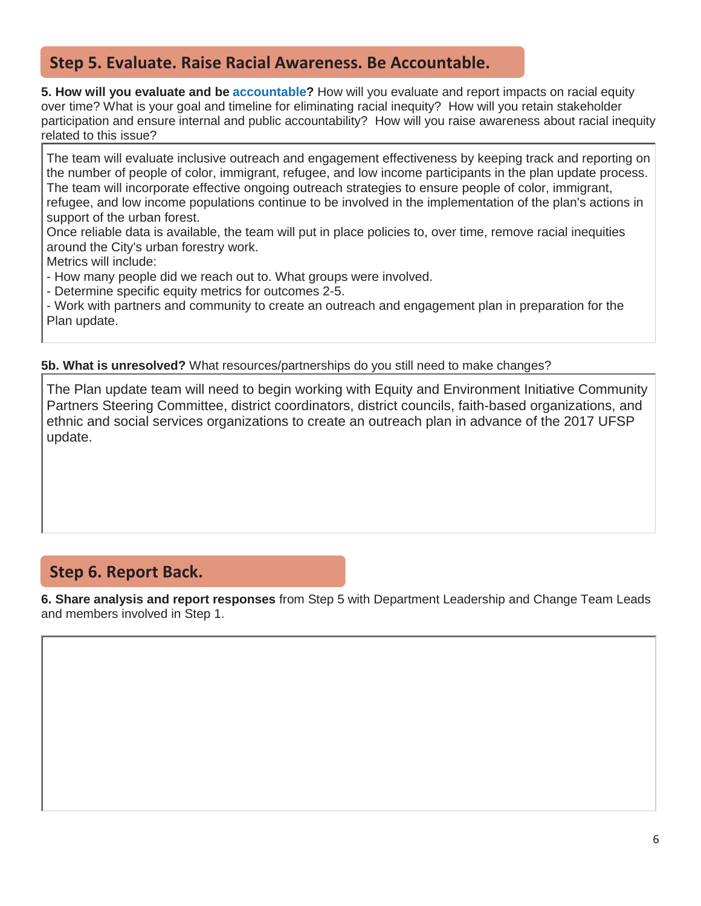### **Step 5. Evaluate. Raise Racial Awareness. Be Accountable.**

**5. How will you evaluate and be accountable?** How will you evaluate and report impacts on racial equity over time? What is your goal and timeline for eliminating racial inequity? How will you retain stakeholder participation and ensure internal and public accountability? How will you raise awareness about racial inequity related to this issue?

The team will evaluate inclusive outreach and engagement effectiveness by keeping track and reporting on the number of people of color, immigrant, refugee, and low income participants in the plan update process. The team will incorporate effective ongoing outreach strategies to ensure people of color, immigrant, refugee, and low income populations continue to be involved in the implementation of the plan's actions in support of the urban forest.

Once reliable data is available, the team will put in place policies to, over time, remove racial inequities around the City's urban forestry work.

Metrics will include:

- How many people did we reach out to. What groups were involved.

- Determine specific equity metrics for outcomes 2-5.

- Work with partners and community to create an outreach and engagement plan in preparation for the Plan update.

**5b. What is unresolved?** What resources/partnerships do you still need to make changes?

The Plan update team will need to begin working with Equity and Environment Initiative Community Partners Steering Committee, district coordinators, district councils, faith-based organizations, and ethnic and social services organizations to create an outreach plan in advance of the 2017 UFSP update.

### **Step 6. Report Back.**

**6. Share analysis and report responses** from Step 5 with Department Leadership and Change Team Leads and members involved in Step 1.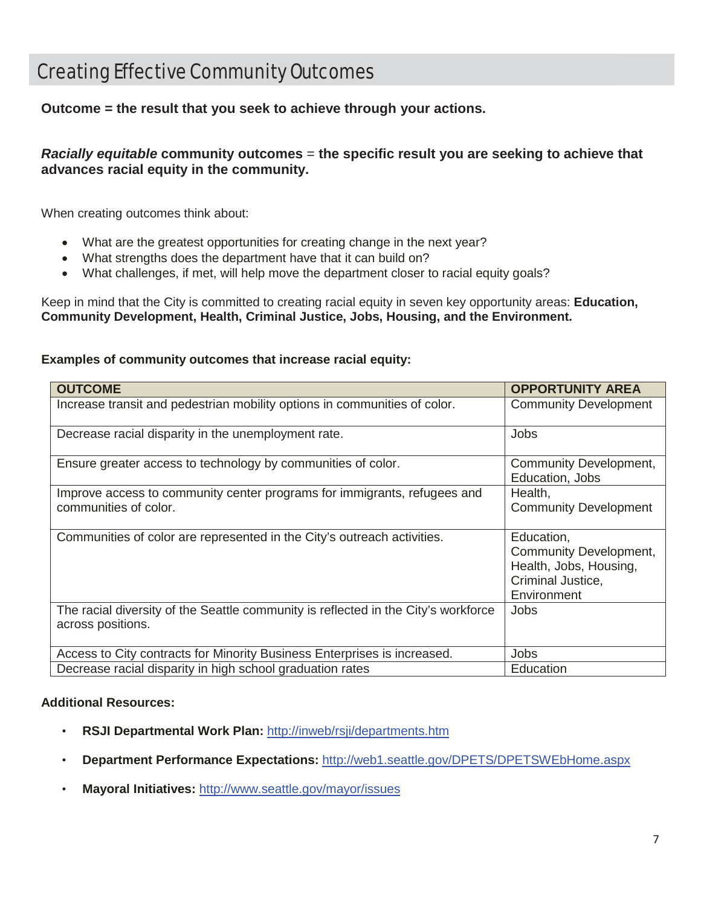# Creating Effective Community Outcomes

**Outcome = the result that you seek to achieve through your actions.** 

*Racially equitable* **community outcomes** = **the specific result you are seeking to achieve that advances racial equity in the community.**

When creating outcomes think about:

- What are the greatest opportunities for creating change in the next year?
- What strengths does the department have that it can build on?
- What challenges, if met, will help move the department closer to racial equity goals?

Keep in mind that the City is committed to creating racial equity in seven key opportunity areas: **Education, Community Development, Health, Criminal Justice, Jobs, Housing, and the Environment.**

### **Examples of community outcomes that increase racial equity:**

| <b>OUTCOME</b>                                                                                          | <b>OPPORTUNITY AREA</b>                                                                            |
|---------------------------------------------------------------------------------------------------------|----------------------------------------------------------------------------------------------------|
| Increase transit and pedestrian mobility options in communities of color.                               | <b>Community Development</b>                                                                       |
| Decrease racial disparity in the unemployment rate.                                                     | Jobs                                                                                               |
| Ensure greater access to technology by communities of color.                                            | Community Development,<br>Education, Jobs                                                          |
| Improve access to community center programs for immigrants, refugees and                                | Health,                                                                                            |
| communities of color.                                                                                   | <b>Community Development</b>                                                                       |
| Communities of color are represented in the City's outreach activities.                                 | Education,<br>Community Development,<br>Health, Jobs, Housing,<br>Criminal Justice,<br>Environment |
| The racial diversity of the Seattle community is reflected in the City's workforce<br>across positions. | Jobs                                                                                               |
| Access to City contracts for Minority Business Enterprises is increased.                                | Jobs                                                                                               |
| Decrease racial disparity in high school graduation rates                                               | Education                                                                                          |

### **Additional Resources:**

- **RSJI Departmental Work Plan:** http://inweb/rsji/departments.htm
- **Department Performance Expectations:** http://web1.seattle.gov/DPETS/DPETSWEbHome.aspx
- **Mayoral Initiatives:** http://www.seattle.gov/mayor/issues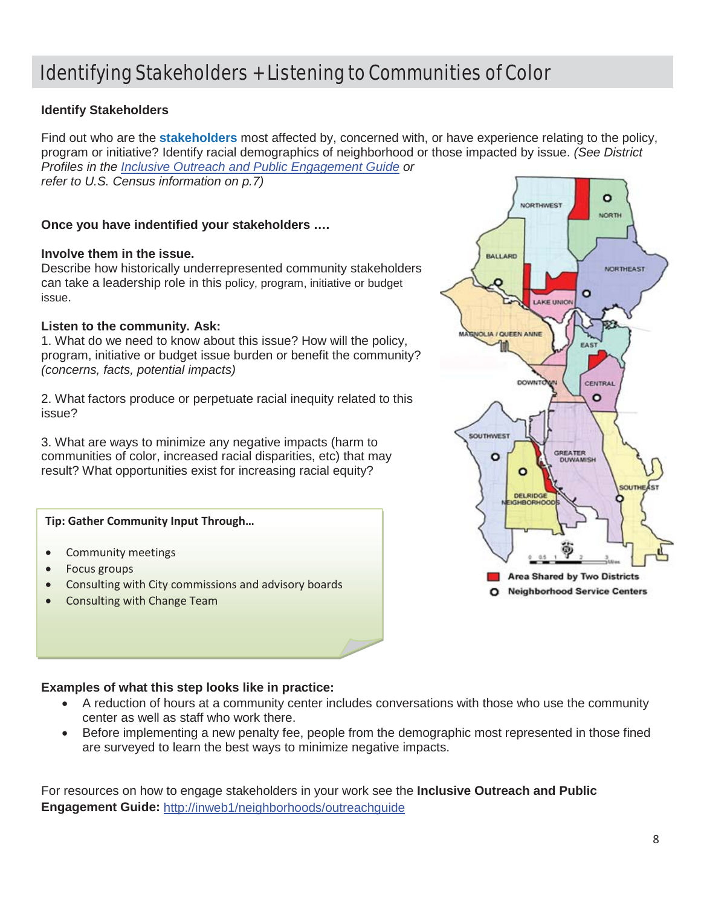# Identifying Stakeholders + Listening to Communities of Color

### **Identify Stakeholders**

Find out who are the **stakeholders** most affected by, concerned with, or have experience relating to the policy, program or initiative? Identify racial demographics of neighborhood or those impacted by issue. *(See District Profiles in the Inclusive Outreach and Public Engagement Guide or refer to U.S. Census information on p.7)*

### **Once you have indentified your stakeholders ….**

#### **Involve them in the issue.**

Describe how historically underrepresented community stakeholders can take a leadership role in this policy, program, initiative or budget issue.

### **Listen to the community. Ask:**

1. What do we need to know about this issue? How will the policy, program, initiative or budget issue burden or benefit the community? *(concerns, facts, potential impacts)*

2. What factors produce or perpetuate racial inequity related to this issue?

3. What are ways to minimize any negative impacts (harm to communities of color, increased racial disparities, etc) that may result? What opportunities exist for increasing racial equity?

#### **Tip: Gather Community Input Through…**

- Community meetings
- Focus groups
- Consulting with City commissions and advisory boards
- Consulting with Change Team



### **Examples of what this step looks like in practice:**

- x A reduction of hours at a community center includes conversations with those who use the community center as well as staff who work there.
- Before implementing a new penalty fee, people from the demographic most represented in those fined are surveyed to learn the best ways to minimize negative impacts.

For resources on how to engage stakeholders in your work see the **Inclusive Outreach and Public Engagement Guide:** http://inweb1/neighborhoods/outreachguide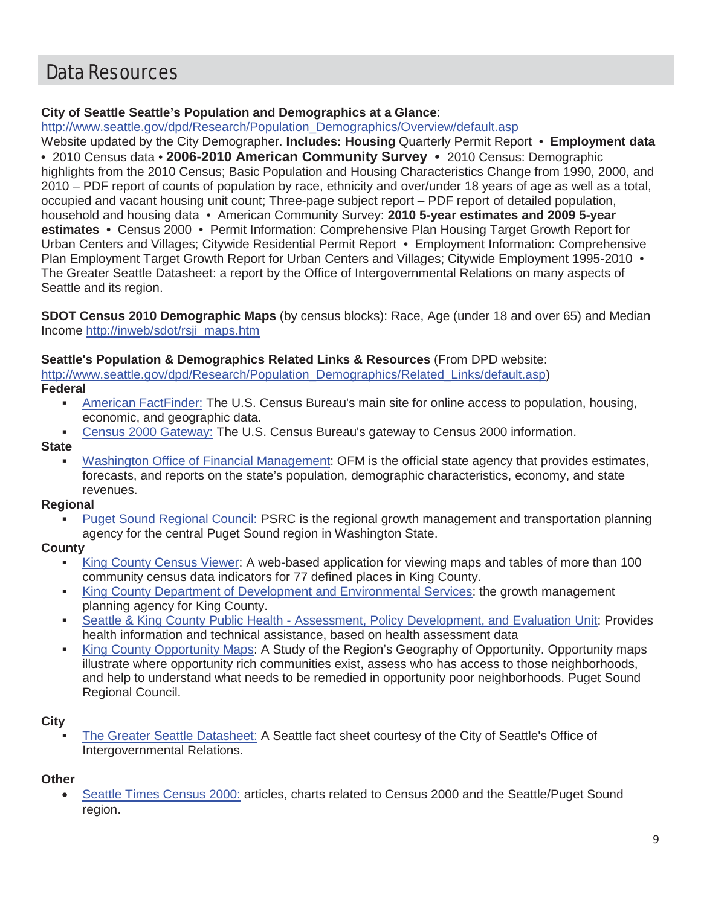# Data Resources

### **City of Seattle Seattle's Population and Demographics at a Glance**:

http://www.seattle.gov/dpd/Research/Population\_Demographics/Overview/default.asp

Website updated by the City Demographer. **Includes: Housing** Quarterly Permit Report • **Employment data •** 2010 Census data • **2006-2010 American Community Survey •** 2010 Census: Demographic highlights from the 2010 Census; Basic Population and Housing Characteristics Change from 1990, 2000, and 2010 – PDF report of counts of population by race, ethnicity and over/under 18 years of age as well as a total, occupied and vacant housing unit count; Three-page subject report – PDF report of detailed population, household and housing data • American Community Survey: **2010 5-year estimates and 2009 5-year estimates •** Census 2000 • Permit Information: Comprehensive Plan Housing Target Growth Report for Urban Centers and Villages; Citywide Residential Permit Report • Employment Information: Comprehensive Plan Employment Target Growth Report for Urban Centers and Villages; Citywide Employment 1995-2010 • The Greater Seattle Datasheet: a report by the Office of Intergovernmental Relations on many aspects of Seattle and its region.

**SDOT Census 2010 Demographic Maps** (by census blocks): Race, Age (under 18 and over 65) and Median Income http://inweb/sdot/rsji\_maps.htm

### **Seattle's Population & Demographics Related Links & Resources** (From DPD website:

http://www.seattle.gov/dpd/Research/Population\_Demographics/Related\_Links/default.asp)

**Federal**

- American FactFinder: The U.S. Census Bureau's main site for online access to population, housing, economic, and geographic data.
- Census 2000 Gateway: The U.S. Census Bureau's gateway to Census 2000 information.

**State**

 Washington Office of Financial Management: OFM is the official state agency that provides estimates, forecasts, and reports on the state's population, demographic characteristics, economy, and state revenues.

### **Regional**

 Puget Sound Regional Council: PSRC is the regional growth management and transportation planning agency for the central Puget Sound region in Washington State.

### **County**

- King County Census Viewer: A web-based application for viewing maps and tables of more than 100 community census data indicators for 77 defined places in King County.
- King County Department of Development and Environmental Services: the growth management planning agency for King County.
- Seattle & King County Public Health Assessment, Policy Development, and Evaluation Unit: Provides health information and technical assistance, based on health assessment data
- King County Opportunity Maps: A Study of the Region's Geography of Opportunity. Opportunity maps illustrate where opportunity rich communities exist, assess who has access to those neighborhoods, and help to understand what needs to be remedied in opportunity poor neighborhoods. Puget Sound Regional Council.

### **City**

 The Greater Seattle Datasheet: A Seattle fact sheet courtesy of the City of Seattle's Office of Intergovernmental Relations.

### **Other**

Seattle Times Census 2000: articles, charts related to Census 2000 and the Seattle/Puget Sound region.